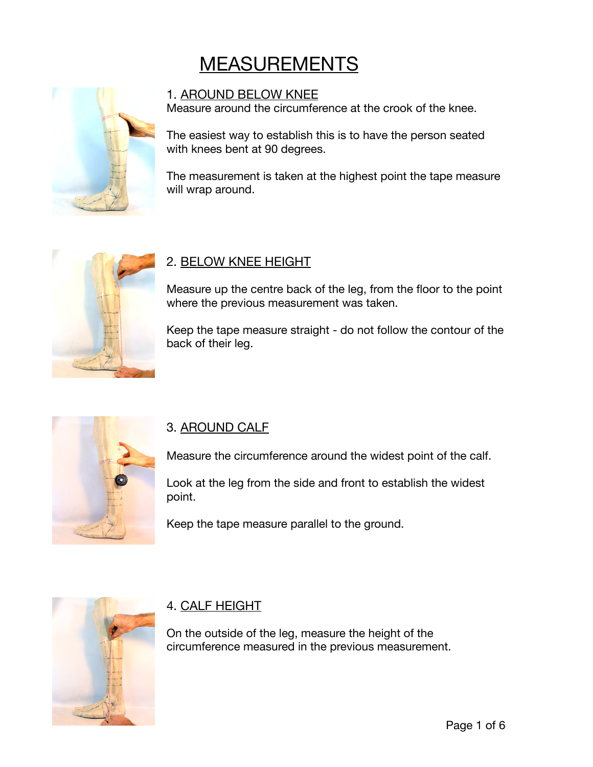# **MEASUREMENTS**



#### 1. AROUND BELOW KNEE

Measure around the circumference at the crook of the knee.

The easiest way to establish this is to have the person seated with knees bent at 90 degrees.

The measurement is taken at the highest point the tape measure will wrap around.



#### 2. BELOW KNEE HEIGHT

Measure up the centre back of the leg, from the floor to the point where the previous measurement was taken.

Keep the tape measure straight - do not follow the contour of the back of their leg.



#### 3. AROUND CALF

Measure the circumference around the widest point of the calf.

Look at the leg from the side and front to establish the widest point.

Keep the tape measure parallel to the ground.



#### 4. CALF HEIGHT

On the outside of the leg, measure the height of the circumference measured in the previous measurement.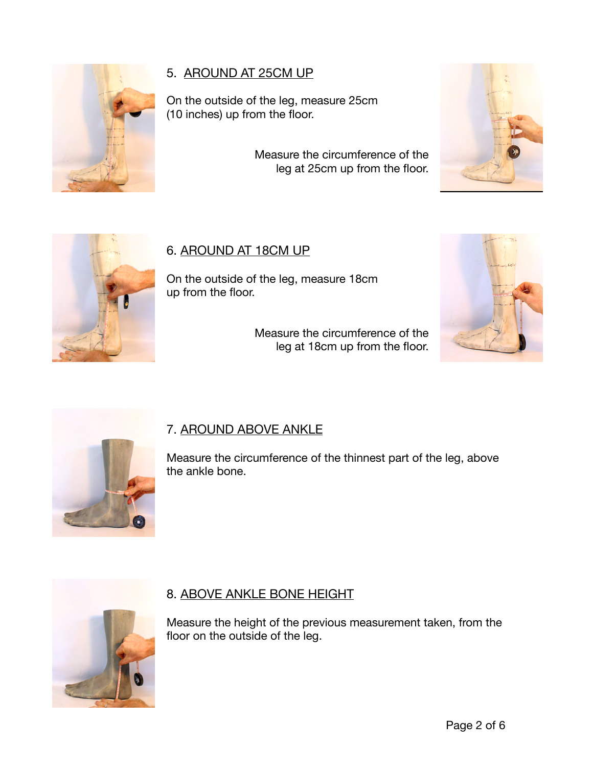

# 5. AROUND AT 25CM UP

On the outside of the leg, measure 25cm (10 inches) up from the floor.

> Measure the circumference of the leg at 25cm up from the floor.





# 6. AROUND AT 18CM UP

On the outside of the leg, measure 18cm up from the floor.

> Measure the circumference of the leg at 18cm up from the floor.





# 7. AROUND ABOVE ANKLE

Measure the circumference of the thinnest part of the leg, above the ankle bone.



# 8. ABOVE ANKLE BONE HEIGHT

Measure the height of the previous measurement taken, from the floor on the outside of the leg.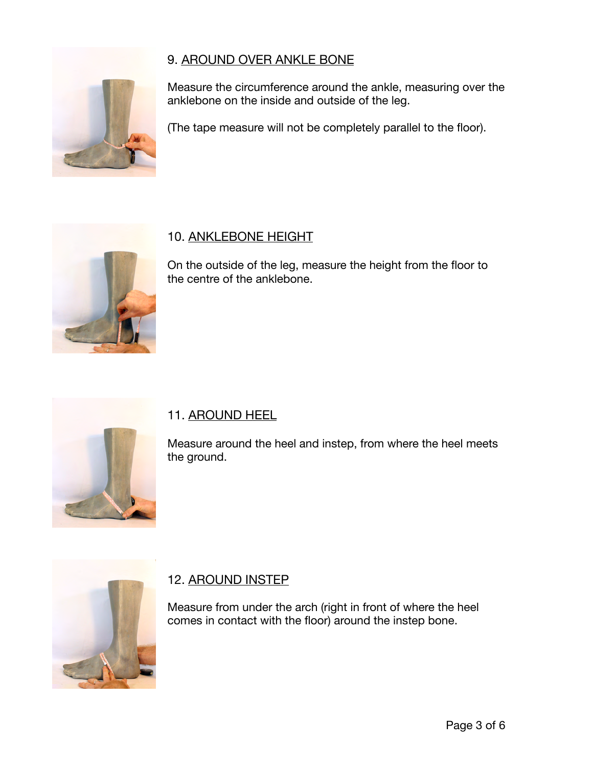## 9. AROUND OVER ANKLE BONE



Measure the circumference around the ankle, measuring over the anklebone on the inside and outside of the leg.

(The tape measure will not be completely parallel to the floor).



#### 10. ANKLEBONE HEIGHT

On the outside of the leg, measure the height from the floor to the centre of the anklebone.



#### 11. AROUND HEEL

Measure around the heel and instep, from where the heel meets the ground.



#### 12. AROUND INSTEP

Measure from under the arch (right in front of where the heel comes in contact with the floor) around the instep bone.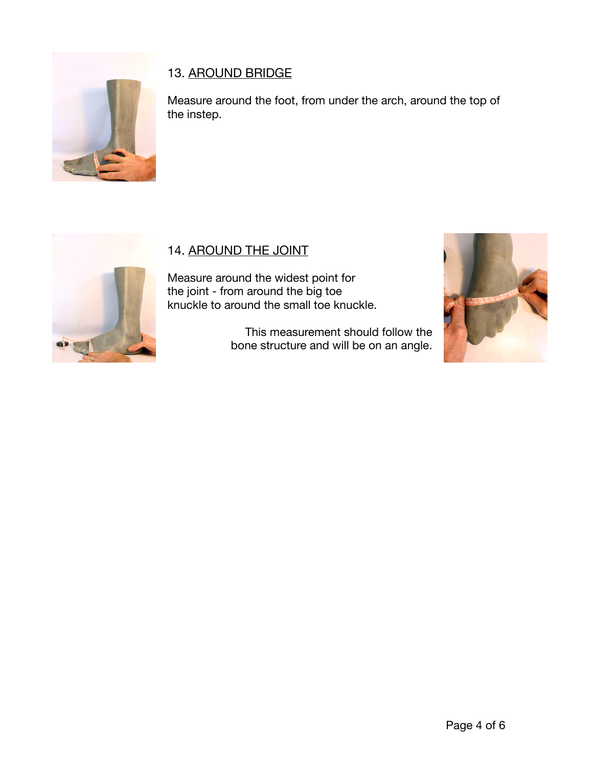

# 13. AROUND BRIDGE

Measure around the foot, from under the arch, around the top of the instep.



# 14. AROUND THE JOINT

Measure around the widest point for the joint - from around the big toe knuckle to around the small toe knuckle.

> This measurement should follow the bone structure and will be on an angle.

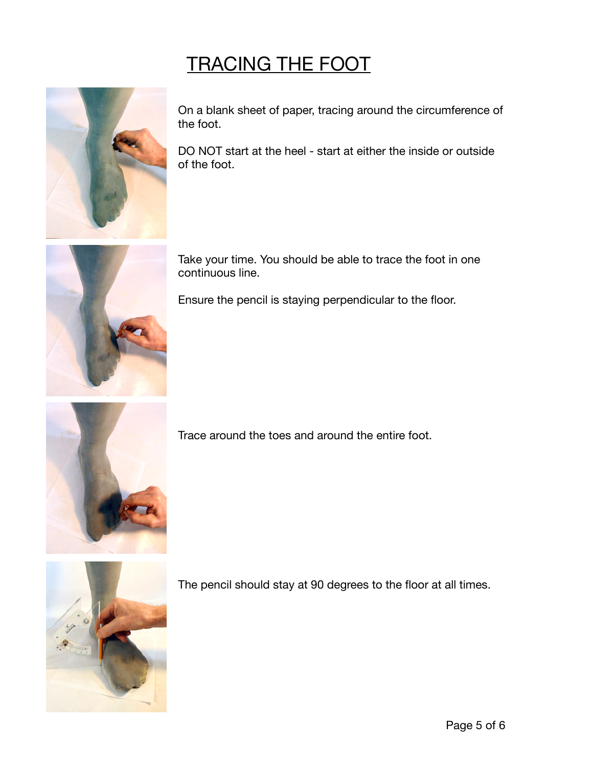# TRACING THE FOOT



On a blank sheet of paper, tracing around the circumference of the foot.

DO NOT start at the heel - start at either the inside or outside of the foot.



Take your time. You should be able to trace the foot in one continuous line.

Ensure the pencil is staying perpendicular to the floor.



Trace around the toes and around the entire foot.



The pencil should stay at 90 degrees to the floor at all times.